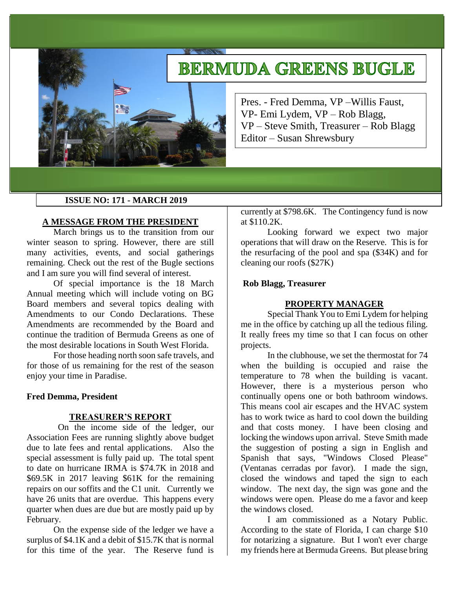# **BERMUDA GREENS BUGLE**



Pres. - Fred Demma, VP –Willis Faust, VP- Emi Lydem, VP – Rob Blagg, VP – Steve Smith, Treasurer – Rob Blagg Editor – Susan Shrewsbury

#### **ISSUE NO: 171 - MARCH 2019**

#### **A MESSAGE FROM THE PRESIDENT**

March brings us to the transition from our winter season to spring. However, there are still many activities, events, and social gatherings remaining. Check out the rest of the Bugle sections and I am sure you will find several of interest.

Of special importance is the 18 March Annual meeting which will include voting on BG Board members and several topics dealing with Amendments to our Condo Declarations. These Amendments are recommended by the Board and continue the tradition of Bermuda Greens as one of the most desirable locations in South West Florida.

For those heading north soon safe travels, and for those of us remaining for the rest of the season enjoy your time in Paradise.

#### **Fred Demma, President**

#### **TREASURER'S REPORT**

On the income side of the ledger, our Association Fees are running slightly above budget due to late fees and rental applications. Also the special assessment is fully paid up. The total spent to date on hurricane IRMA is \$74.7K in 2018 and \$69.5K in 2017 leaving \$61K for the remaining repairs on our soffits and the C1 unit. Currently we have 26 units that are overdue. This happens every quarter when dues are due but are mostly paid up by February.

On the expense side of the ledger we have a surplus of \$4.1K and a debit of \$15.7K that is normal for this time of the year. The Reserve fund is

currently at \$798.6K. The Contingency fund is now at \$110.2K.

Looking forward we expect two major operations that will draw on the Reserve. This is for the resurfacing of the pool and spa (\$34K) and for cleaning our roofs (\$27K)

#### **Rob Blagg, Treasurer**

#### **PROPERTY MANAGER**

Special Thank You to Emi Lydem for helping me in the office by catching up all the tedious filing. It really frees my time so that I can focus on other projects.

In the clubhouse, we set the thermostat for 74 when the building is occupied and raise the temperature to 78 when the building is vacant. However, there is a mysterious person who continually opens one or both bathroom windows. This means cool air escapes and the HVAC system has to work twice as hard to cool down the building and that costs money. I have been closing and locking the windows upon arrival. Steve Smith made the suggestion of posting a sign in English and Spanish that says, "Windows Closed Please" (Ventanas cerradas por favor). I made the sign, closed the windows and taped the sign to each window. The next day, the sign was gone and the windows were open. Please do me a favor and keep the windows closed.

I am commissioned as a Notary Public. According to the state of Florida, I can charge \$10 for notarizing a signature. But I won't ever charge my friends here at Bermuda Greens. But please bring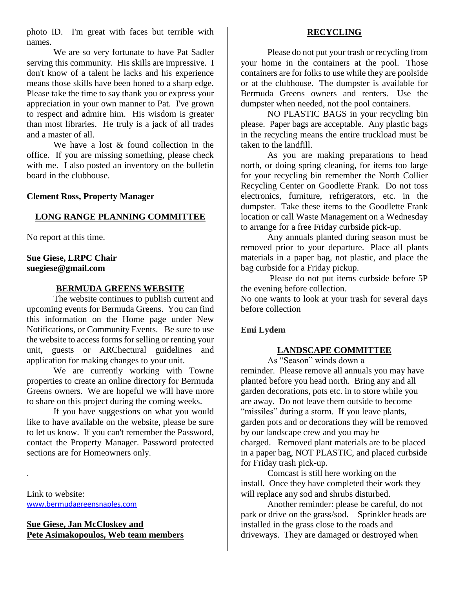photo ID. I'm great with faces but terrible with names.

We are so very fortunate to have Pat Sadler serving this community. His skills are impressive. I don't know of a talent he lacks and his experience means those skills have been honed to a sharp edge. Please take the time to say thank you or express your appreciation in your own manner to Pat. I've grown to respect and admire him. His wisdom is greater than most libraries. He truly is a jack of all trades and a master of all.

We have a lost  $\&$  found collection in the office. If you are missing something, please check with me. I also posted an inventory on the bulletin board in the clubhouse.

#### **Clement Ross, Property Manager**

## **LONG RANGE PLANNING COMMITTEE**

No report at this time.

## **Sue Giese, LRPC Chair suegiese@gmail.com**

#### **BERMUDA GREENS WEBSITE**

The website continues to publish current and upcoming events for Bermuda Greens. You can find this information on the Home page under New Notifications, or Community Events. Be sure to use the website to access forms for selling or renting your unit, guests or ARChectural guidelines and application for making changes to your unit.

We are currently working with Towne properties to create an online directory for Bermuda Greens owners. We are hopeful we will have more to share on this project during the coming weeks.

If you have suggestions on what you would like to have available on the website, please be sure to let us know. If you can't remember the Password, contact the Property Manager. Password protected sections are for Homeowners only.

Link to website: [www.bermudagreensnaples.com](http://www.bermudagreensnaples.com/)

.

## **Sue Giese, Jan McCloskey and Pete Asimakopoulos, Web team members**

## **RECYCLING**

Please do not put your trash or recycling from your home in the containers at the pool. Those containers are for folks to use while they are poolside or at the clubhouse. The dumpster is available for Bermuda Greens owners and renters. Use the dumpster when needed, not the pool containers.

NO PLASTIC BAGS in your recycling bin please. Paper bags are acceptable. Any plastic bags in the recycling means the entire truckload must be taken to the landfill.

As you are making preparations to head north, or doing spring cleaning, for items too large for your recycling bin remember the North Collier Recycling Center on Goodlette Frank. Do not toss electronics, furniture, refrigerators, etc. in the dumpster. Take these items to the Goodlette Frank location or call Waste Management on a Wednesday to arrange for a free Friday curbside pick-up.

Any annuals planted during season must be removed prior to your departure. Place all plants materials in a paper bag, not plastic, and place the bag curbside for a Friday pickup.

Please do not put items curbside before 5P the evening before collection.

No one wants to look at your trash for several days before collection

#### **Emi Lydem**

## **LANDSCAPE COMMITTEE**

As "Season" winds down a

reminder. Please remove all annuals you may have planted before you head north. Bring any and all garden decorations, pots etc. in to store while you are away. Do not leave them outside to become "missiles" during a storm. If you leave plants, garden pots and or decorations they will be removed by our landscape crew and you may be charged. Removed plant materials are to be placed in a paper bag, NOT PLASTIC, and placed curbside for Friday trash pick-up.

Comcast is still here working on the install. Once they have completed their work they will replace any sod and shrubs disturbed.

Another reminder: please be careful, do not park or drive on the grass/sod. Sprinkler heads are installed in the grass close to the roads and driveways. They are damaged or destroyed when